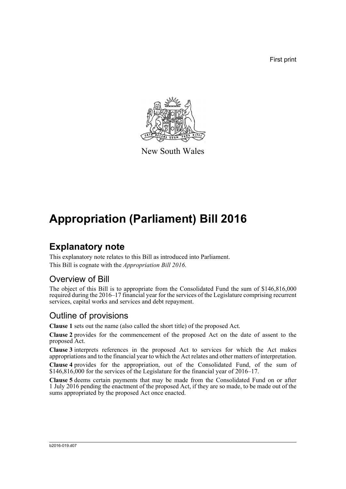First print



New South Wales

# **Appropriation (Parliament) Bill 2016**

### **Explanatory note**

This explanatory note relates to this Bill as introduced into Parliament. This Bill is cognate with the *Appropriation Bill 2016*.

#### Overview of Bill

The object of this Bill is to appropriate from the Consolidated Fund the sum of \$146,816,000 required during the 2016–17 financial year for the services of the Legislature comprising recurrent services, capital works and services and debt repayment.

### Outline of provisions

**Clause 1** sets out the name (also called the short title) of the proposed Act.

**Clause 2** provides for the commencement of the proposed Act on the date of assent to the proposed Act.

**Clause 3** interprets references in the proposed Act to services for which the Act makes appropriations and to the financial year to which the Act relates and other matters of interpretation.

**Clause 4** provides for the appropriation, out of the Consolidated Fund, of the sum of \$146,816,000 for the services of the Legislature for the financial year of 2016–17.

**Clause 5** deems certain payments that may be made from the Consolidated Fund on or after 1 July 2016 pending the enactment of the proposed Act, if they are so made, to be made out of the sums appropriated by the proposed Act once enacted.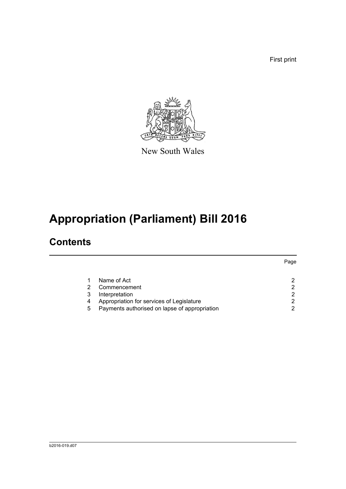First print



New South Wales

# **Appropriation (Parliament) Bill 2016**

## **Contents**

|                                               | Page        |
|-----------------------------------------------|-------------|
|                                               |             |
| Commencement                                  | ົ           |
| Interpretation                                | ົ           |
| Appropriation for services of Legislature     | 2           |
| Payments authorised on lapse of appropriation | ົ           |
|                                               | Name of Act |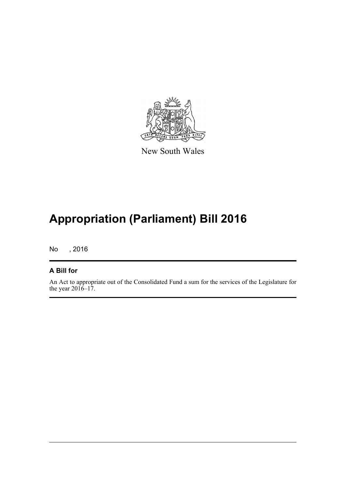

New South Wales

# **Appropriation (Parliament) Bill 2016**

No , 2016

#### **A Bill for**

An Act to appropriate out of the Consolidated Fund a sum for the services of the Legislature for the year  $2016-17$ .